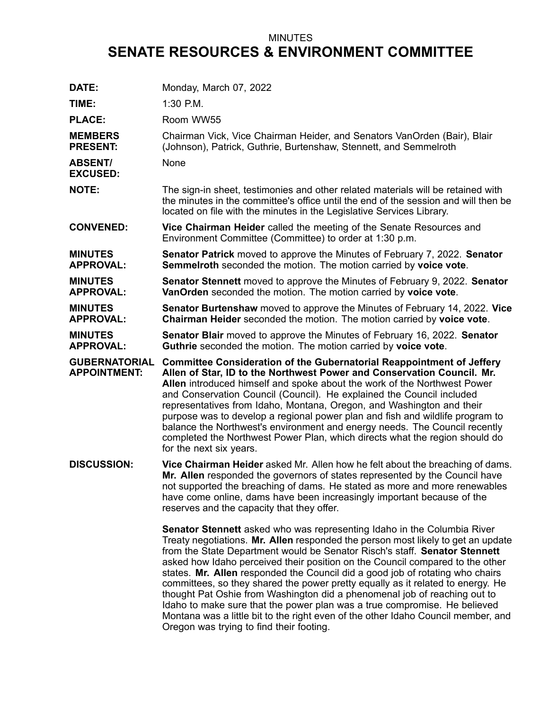## MINUTES **SENATE RESOURCES & ENVIRONMENT COMMITTEE**

| DATE:                                       | Monday, March 07, 2022                                                                                                                                                                                                                                                                                                                                                                                                                                                                                                                       |
|---------------------------------------------|----------------------------------------------------------------------------------------------------------------------------------------------------------------------------------------------------------------------------------------------------------------------------------------------------------------------------------------------------------------------------------------------------------------------------------------------------------------------------------------------------------------------------------------------|
| TIME:                                       | $1:30$ P.M.                                                                                                                                                                                                                                                                                                                                                                                                                                                                                                                                  |
| <b>PLACE:</b>                               | Room WW55                                                                                                                                                                                                                                                                                                                                                                                                                                                                                                                                    |
| <b>MEMBERS</b><br><b>PRESENT:</b>           | Chairman Vick, Vice Chairman Heider, and Senators VanOrden (Bair), Blair<br>(Johnson), Patrick, Guthrie, Burtenshaw, Stennett, and Semmelroth                                                                                                                                                                                                                                                                                                                                                                                                |
| <b>ABSENT/</b><br><b>EXCUSED:</b>           | None                                                                                                                                                                                                                                                                                                                                                                                                                                                                                                                                         |
| <b>NOTE:</b>                                | The sign-in sheet, testimonies and other related materials will be retained with<br>the minutes in the committee's office until the end of the session and will then be<br>located on file with the minutes in the Legislative Services Library.                                                                                                                                                                                                                                                                                             |
| <b>CONVENED:</b>                            | Vice Chairman Heider called the meeting of the Senate Resources and<br>Environment Committee (Committee) to order at 1:30 p.m.                                                                                                                                                                                                                                                                                                                                                                                                               |
| <b>MINUTES</b><br><b>APPROVAL:</b>          | <b>Senator Patrick</b> moved to approve the Minutes of February 7, 2022. Senator<br>Semmelroth seconded the motion. The motion carried by voice vote.                                                                                                                                                                                                                                                                                                                                                                                        |
| <b>MINUTES</b><br><b>APPROVAL:</b>          | Senator Stennett moved to approve the Minutes of February 9, 2022. Senator<br>VanOrden seconded the motion. The motion carried by voice vote.                                                                                                                                                                                                                                                                                                                                                                                                |
| <b>MINUTES</b><br><b>APPROVAL:</b>          | Senator Burtenshaw moved to approve the Minutes of February 14, 2022. Vice<br>Chairman Heider seconded the motion. The motion carried by voice vote.                                                                                                                                                                                                                                                                                                                                                                                         |
| <b>MINUTES</b><br><b>APPROVAL:</b>          | <b>Senator Blair</b> moved to approve the Minutes of February 16, 2022. Senator<br>Guthrie seconded the motion. The motion carried by voice vote.                                                                                                                                                                                                                                                                                                                                                                                            |
| <b>GUBERNATORIAL</b><br><b>APPOINTMENT:</b> | Committee Consideration of the Gubernatorial Reappointment of Jeffery<br>Allen of Star, ID to the Northwest Power and Conservation Council. Mr.<br>Allen introduced himself and spoke about the work of the Northwest Power<br>and Conservation Council (Council). He explained the Council included<br>representatives from Idaho, Montana, Oregon, and Washington and their<br>purpose was to develop a regional power plan and fish and wildlife program to<br>balance the Northwest's environment and energy needs. The Council recently |
|                                             | completed the Northwest Power Plan, which directs what the region should do<br>for the next six years.                                                                                                                                                                                                                                                                                                                                                                                                                                       |
| <b>DISCUSSION:</b>                          | Vice Chairman Heider asked Mr. Allen how he felt about the breaching of dams.<br>Mr. Allen responded the governors of states represented by the Council have<br>not supported the breaching of dams. He stated as more and more renewables<br>have come online, dams have been increasingly important because of the<br>reserves and the capacity that they offer.                                                                                                                                                                           |